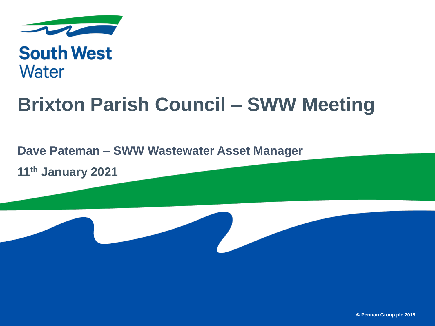

# **South West Water**

# **Brixton Parish Council – SWW Meeting**

### **Dave Pateman – SWW Wastewater Asset Manager**

**11th January 2021**

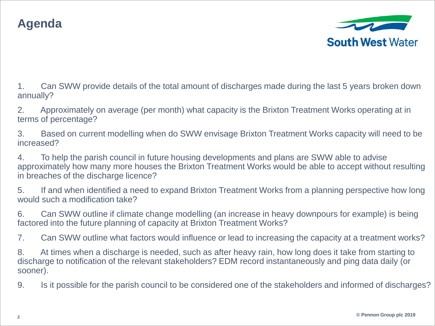## **Agenda**



1. Can SWW provide details of the total amount of discharges made during the last 5 years broken down annually?

2. Approximately on average (per month) what capacity is the Brixton Treatment Works operating at in terms of percentage?

3. Based on current modelling when do SWW envisage Brixton Treatment Works capacity will need to be increased?

4. To help the parish council in future housing developments and plans are SWW able to advise approximately how many more houses the Brixton Treatment Works would be able to accept without resulting in breaches of the discharge licence?

5. If and when identified a need to expand Brixton Treatment Works from a planning perspective how long would such a modification take?

6. Can SWW outline if climate change modelling (an increase in heavy downpours for example) is being factored into the future planning of capacity at Brixton Treatment Works?

7. Can SWW outline what factors would influence or lead to increasing the capacity at a treatment works?

8. At times when a discharge is needed, such as after heavy rain, how long does it take from starting to discharge to notification of the relevant stakeholders? EDM record instantaneously and ping data daily (or sooner).

9. Is it possible for the parish council to be considered one of the stakeholders and informed of discharges?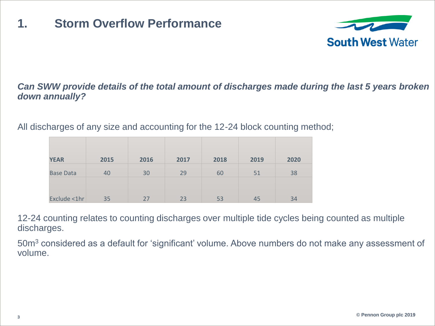## **1. Storm Overflow Performance**



### *Can SWW provide details of the total amount of discharges made during the last 5 years broken down annually?*

All discharges of any size and accounting for the 12-24 block counting method;

| <b>YEAR</b>      | 2015 | 2016 | 2017 | 2018 | 2019 | 2020 |
|------------------|------|------|------|------|------|------|
| <b>Base Data</b> | 40   | 30   | 29   | 60   | 51   | 38   |
|                  |      |      |      |      |      |      |
| Exclude <1hr     | 35   | 27   | 23   | 53   | 45   | 34   |

12-24 counting relates to counting discharges over multiple tide cycles being counted as multiple discharges.

50m<sup>3</sup> considered as a default for 'significant' volume. Above numbers do not make any assessment of volume.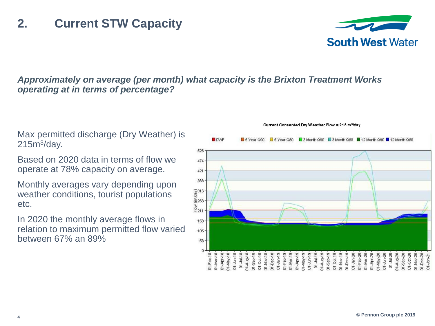#### *Approximately on average (per month) what capacity is the Brixton Treatment Works operating at in terms of percentage?*

 $\frac{2}{3}$ <br> $\frac{3}{2}$ <br> $\frac{6}{5}$ <br> $\frac{263}{5}$ 

 $M-Feb-18$ 

**IDMF** 

S Vear O90

Max permitted discharge (Dry Weather) is  $215m<sup>3</sup>/day.$ 

Based on 2020 data in terms of flow we operate at 78% capacity on average.

Monthly averages vary depending upon weather conditions, tourist populations etc.

In 2020 the monthly average flows in relation to maximum permitted flow varied between 67% an 89%

#### Current Consented Dry Weather Flow = 215 m<sup>3</sup>/day



□ 5 Year Q80 □ 3 Month Q90 □ 3 Month Q80 ■ 12 Month Q90 ■ 12 Month Q80

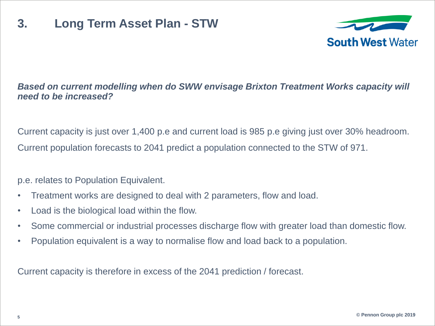## **3. Long Term Asset Plan - STW**



### **Based on current modelling when do SWW envisage Brixton Treatment Works capacity will** *need to be increased?*

Current capacity is just over 1,400 p.e and current load is 985 p.e giving just over 30% headroom. Current population forecasts to 2041 predict a population connected to the STW of 971.

p.e. relates to Population Equivalent.

- Treatment works are designed to deal with 2 parameters, flow and load.
- Load is the biological load within the flow.
- Some commercial or industrial processes discharge flow with greater load than domestic flow.
- Population equivalent is a way to normalise flow and load back to a population.

Current capacity is therefore in excess of the 2041 prediction / forecast.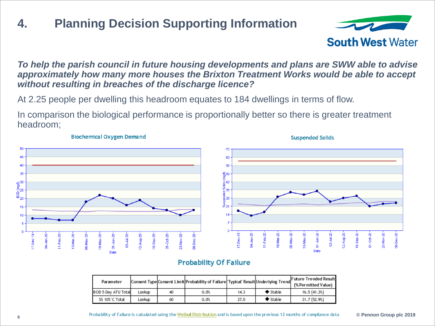# **4. Planning Decision Supporting Information**



#### *To help the parish council in future housing developments and plans are SWW able to advise approximately how many more houses the Brixton Treatment Works would be able to accept without resulting in breaches of the discharge licence?*

At 2.25 people per dwelling this headroom equates to 184 dwellings in terms of flow.

In comparison the biological performance is proportionally better so there is greater treatment headroom;



#### **Biochemical Oxygen Demand**

#### **Probability Of Failure**

| Parameter           |        |    | Consent Type Consent Limit Probability of Failure Typical Result Underlying Trend |      |                        | Future Trended Result<br>(% Permitted Value) |
|---------------------|--------|----|-----------------------------------------------------------------------------------|------|------------------------|----------------------------------------------|
| BOD 5 Day ATU Total | Lookup | 40 | 0.0%                                                                              | 14.3 | $\bullet$ Stable       | 16.5(41.3%)                                  |
| SS 105'C Total      | Lookup | 60 | 0.0%                                                                              | 27.0 | $\blacklozenge$ Stable | 31.7 (52.9%)                                 |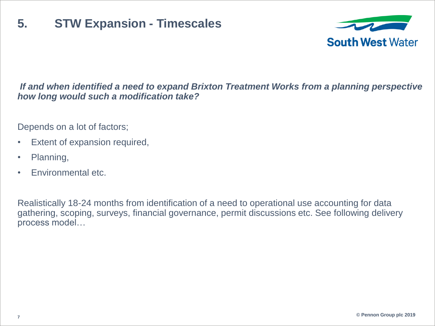### **5. STW Expansion - Timescales**



### *If and when identified a need to expand Brixton Treatment Works from a planning perspective how long would such a modification take?*

Depends on a lot of factors;

- Extent of expansion required,
- Planning,
- Environmental etc.

Realistically 18-24 months from identification of a need to operational use accounting for data gathering, scoping, surveys, financial governance, permit discussions etc. See following delivery process model…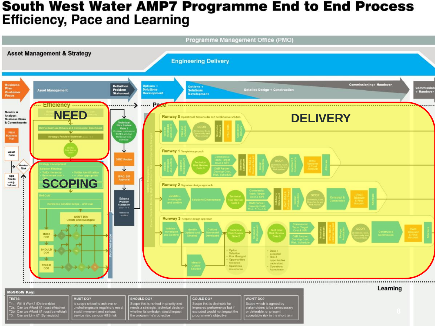### **South West Water AMP7 Programme End to End Process Efficiency, Pace and Learning**



#### **MoSCoW Key:**

#### **TESTS:**

T1: Will it Work? (Deliverable)<br>T2a: Can we Afford it? (cost effective) .<br>T2b: Can we Afford it? (cost beneficial)<br>T3: Can we Link it? (Synergistic)

### MUST DO?

is scope critical to achieve an<br>unchallengeable regulatory need avoid immanent and serious<br>service risk, serious H&S risk

SHOULD DO? Scope that is ranked in priority and<br>needs a strategic, technical decision hether its omission would impact the programme's objective

COULD DO? cope that is desirable for mproved performance but if excluded would not impact the programme's objective

WON'T DO? Scope which is agreed by<br>stakeholders to be unnecessary or deferable, or present<br>acceptable risk in the short term Learning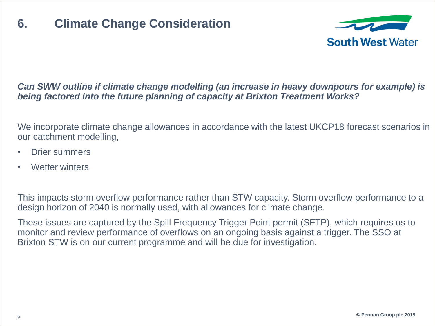

### *Can SWW outline if climate change modelling (an increase in heavy downpours for example) is being factored into the future planning of capacity at Brixton Treatment Works?*

We incorporate climate change allowances in accordance with the latest UKCP18 forecast scenarios in our catchment modelling,

- Drier summers
- Wetter winters

This impacts storm overflow performance rather than STW capacity. Storm overflow performance to a design horizon of 2040 is normally used, with allowances for climate change.

These issues are captured by the Spill Frequency Trigger Point permit (SFTP), which requires us to monitor and review performance of overflows on an ongoing basis against a trigger. The SSO at Brixton STW is on our current programme and will be due for investigation.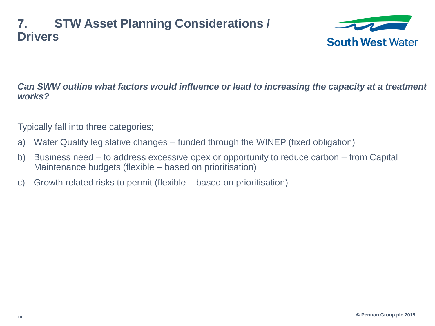### **7. STW Asset Planning Considerations / Drivers**



*Can SWW outline what factors would influence or lead to increasing the capacity at a treatment works?* 

Typically fall into three categories;

- a) Water Quality legislative changes funded through the WINEP (fixed obligation)
- b) Business need to address excessive opex or opportunity to reduce carbon from Capital Maintenance budgets (flexible – based on prioritisation)
- c) Growth related risks to permit (flexible based on prioritisation)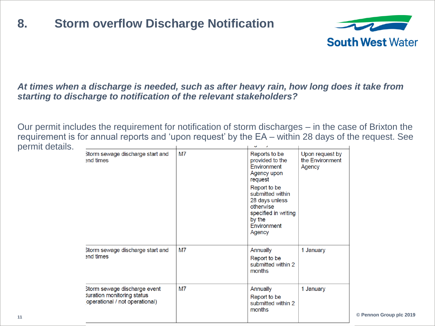### **8. Storm overflow Discharge Notification**



#### *At times when a discharge is needed, such as after heavy rain, how long does it take from starting to discharge to notification of the relevant stakeholders?*

Our permit includes the requirement for notification of storm discharges – in the case of Brixton the requirement is for annual reports and 'upon request' by the EA – within 28 days of the request. See permit details. **Contract Contract** 

| Storm sewage discharge start and<br>and times                                                       | M7 | Reports to be<br>provided to the<br>Environment<br>Agency upon<br>request<br>Report to be<br>submitted within<br>28 days unless<br>otherwise<br>specified in writing<br>by the<br>Environment<br>Agency | Upon request by<br>the Environment<br>Agency |
|-----------------------------------------------------------------------------------------------------|----|---------------------------------------------------------------------------------------------------------------------------------------------------------------------------------------------------------|----------------------------------------------|
| Storm sewage discharge start and<br>and times                                                       | M7 | Annually<br>Report to be<br>submitted within 2<br>months                                                                                                                                                | 1 January                                    |
| Storm sewage discharge event<br><b>Juration monitoring status</b><br>operational / not operational) | M7 | Annually<br>Report to be<br>submitted within 2<br>months                                                                                                                                                | 1 January                                    |

**© Pennon Group plc 2019**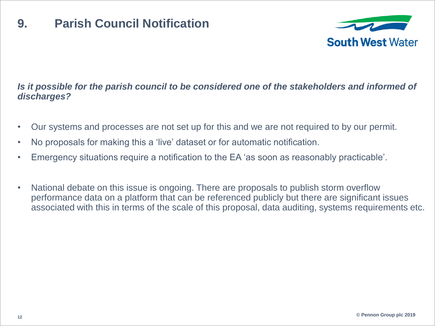### **9. Parish Council Notification**



### *Is it possible for the parish council to be considered one of the stakeholders and informed of discharges?*

- Our systems and processes are not set up for this and we are not required to by our permit.
- No proposals for making this a 'live' dataset or for automatic notification.
- Emergency situations require a notification to the EA 'as soon as reasonably practicable'.
- National debate on this issue is ongoing. There are proposals to publish storm overflow performance data on a platform that can be referenced publicly but there are significant issues associated with this in terms of the scale of this proposal, data auditing, systems requirements etc.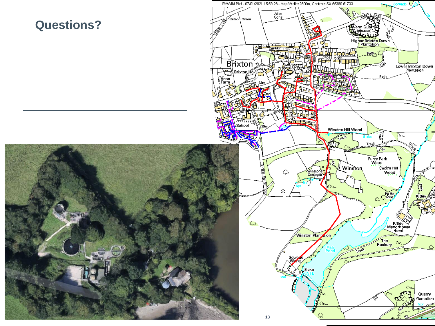